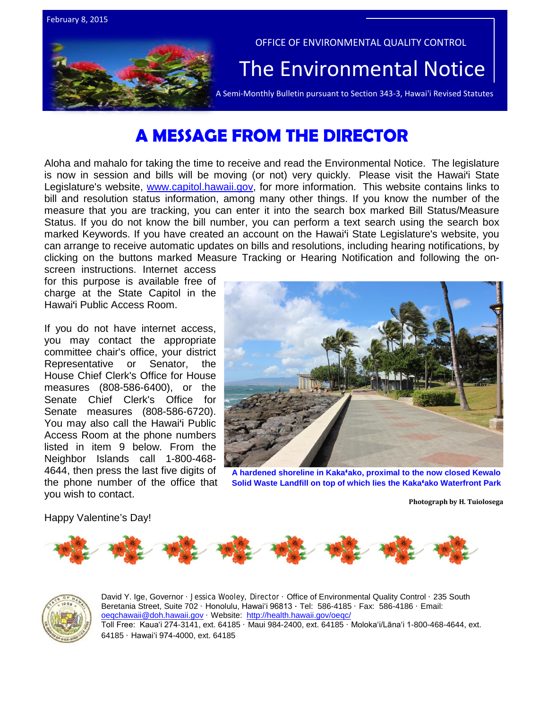

# **A MESSAGE FROM THE DIRECTOR**

Aloha and mahalo for taking the time to receive and read the Environmental Notice. The legislature is now in session and bills will be moving (or not) very quickly. Please visit the Hawai'i State Legislature's website, [www.capitol.hawaii.gov,](http://www.capitol.hawaii.gov/) for more information. This website contains links to bill and resolution status information, among many other things. If you know the number of the measure that you are tracking, you can enter it into the search box marked Bill Status/Measure Status. If you do not know the bill number, you can perform a text search using the search box marked Keywords. If you have created an account on the Hawai'i State Legislature's website, you can arrange to receive automatic updates on bills and resolutions, including hearing notifications, by clicking on the buttons marked Measure Tracking or Hearing Notification and following the on-

screen instructions. Internet access for this purpose is available free of charge at the State Capitol in the Hawai'i Public Access Room.

If you do not have internet access, you may contact the appropriate committee chair's office, your district Representative or Senator, the House Chief Clerk's Office for House measures (808-586-6400), or the Senate Chief Clerk's Office for Senate measures (808-586-6720). You may also call the Hawai'i Public Access Room at the phone numbers listed in item 9 below. From the Neighbor Islands call 1-800-468- 4644, then press the last five digits of the phone number of the office that you wish to contact.



**A hardened shoreline in Kaka'ako, proximal to the now closed Kewalo Solid Waste Landfill on top of which lies the Kaka'ako Waterfront Park**

**Photograph by H. Tuiolosega**

Happy Valentine's Day!





David Y. Ige, Governor · Jessica Wooley, Director · Office of Environmental Quality Control · 235 South Beretania Street, Suite 702 · Honolulu, Hawaiʻi 96813 ∙ Tel: 586-4185 · Fax: 586-4186 · Email: [oeqchawaii@doh.hawaii.gov](mailto:oeqchawaii@doh.hawaii.gov) · Website:<http://health.hawaii.gov/oeqc/> Toll Free: Kauaʻi 274-3141, ext. 64185 · Maui 984-2400, ext. 64185 · Molokaʻi/Lānaʻi 1-800-468-4644, ext. 64185 · Hawaiʻi 974-4000, ext. 64185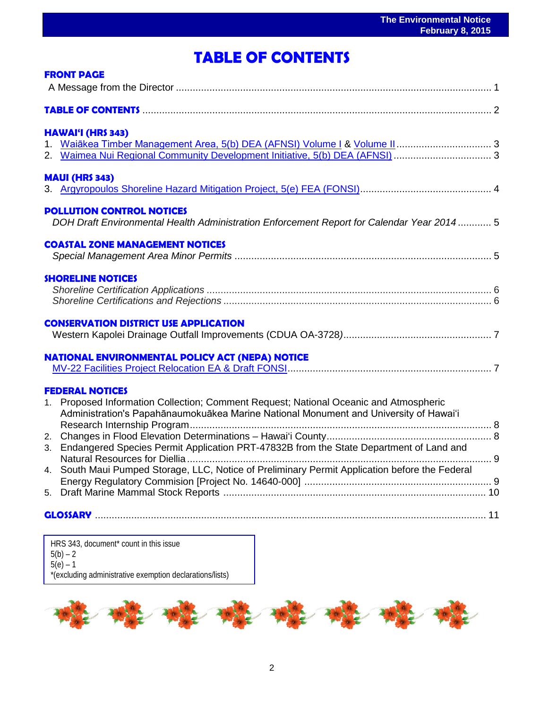## ֖֦֧֦֧֚֚֚֚֚֚֚֚֚֚֚֚֚֚֚֚֚֚֚֚֚֚֬֡֡֡֡֡֡֡֡֬֝֬֝֓֞֡֡֡֬ **TABLE OF CONTENTS**

|                | <b>FRONT PAGE</b>                                                                              |  |
|----------------|------------------------------------------------------------------------------------------------|--|
|                |                                                                                                |  |
|                | TABLE OF CONTENTS <b>2006</b> 2007 2012 2013 2014 2015 2016                                    |  |
|                | HAWAI'I (HRS 343)                                                                              |  |
|                |                                                                                                |  |
|                |                                                                                                |  |
|                | <b>MAUI (HRS 343)</b>                                                                          |  |
|                |                                                                                                |  |
|                | <b>POLLUTION CONTROL NOTICES</b>                                                               |  |
|                | DOH Draft Environmental Health Administration Enforcement Report for Calendar Year 2014 5      |  |
|                | <b>COASTAL ZONE MANAGEMENT NOTICES</b>                                                         |  |
|                |                                                                                                |  |
|                | <b>SHORELINE NOTICES</b>                                                                       |  |
|                |                                                                                                |  |
|                |                                                                                                |  |
|                | <b>CONSERVATION DISTRICT USE APPLICATION</b>                                                   |  |
|                |                                                                                                |  |
|                | <b>NATIONAL ENVIRONMENTAL POLICY ACT (NEPA) NOTICE</b>                                         |  |
|                |                                                                                                |  |
|                | <b>FEDERAL NOTICES</b>                                                                         |  |
| 1 <sup>1</sup> | Proposed Information Collection; Comment Request; National Oceanic and Atmospheric             |  |
|                | Administration's Papahānaumokuākea Marine National Monument and University of Hawai'i          |  |
|                |                                                                                                |  |
|                | 3. Endangered Species Permit Application PRT-47832B from the State Department of Land and      |  |
|                |                                                                                                |  |
|                | 4. South Maui Pumped Storage, LLC, Notice of Preliminary Permit Application before the Federal |  |
|                |                                                                                                |  |
|                |                                                                                                |  |
|                |                                                                                                |  |
|                |                                                                                                |  |

HRS 343, document\* count in this issue  $5(b) - 2$  $5(e) - 1$ \*(excluding administrative exemption declarations/lists)

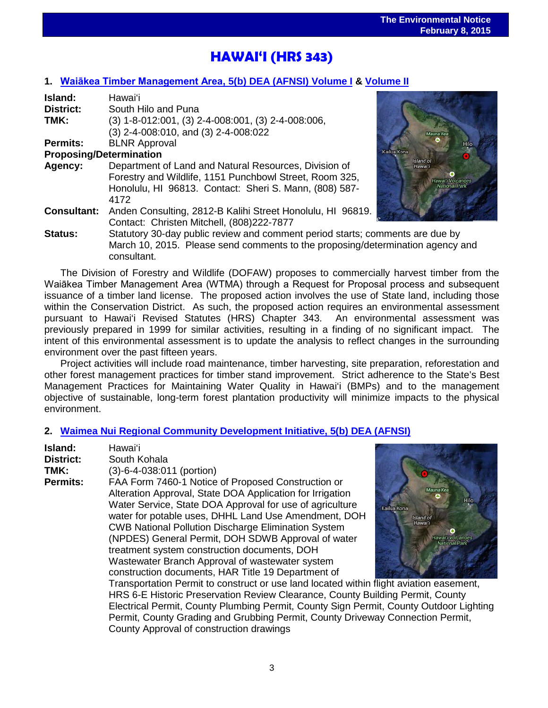## ֖֧֪֪֪֧֚֚֚֚֚֚֚֚֚֚֚֚֚֚֚֚֚֚֚֚֚֚֚֚֚֚֬֝֓֕֓֡֡֡֡֡֓֡֓֡֞֡֡֡֡֬֝֓֞֡֡֡֬ **HAWAI'I (HRS 343)**

## **1. [Waiākea Timber Management Area](http://oeqc.doh.hawaii.gov/Shared%20Documents/EA_and_EIS_Online_Library/Hawaii/2010s/2015-02-08-HA-5B-DEA-Waiakea-Timber-Management-Area-Volume-I.pdf), 5(b) DEA (AFNSI) Volume I & [Volume II](http://oeqc.doh.hawaii.gov/Shared%20Documents/EA_and_EIS_Online_Library/Hawaii/2010s/2015-02-08-HA-5B-DEA-Waiakea-Timber-Management-Area-Volume-II-Appendices.pdf)**

| Island:                        | Hawai'i                                                                        |                      |
|--------------------------------|--------------------------------------------------------------------------------|----------------------|
| District:                      | South Hilo and Puna                                                            |                      |
| TMK:                           | $(3)$ 1-8-012:001, $(3)$ 2-4-008:001, $(3)$ 2-4-008:006,                       |                      |
|                                | (3) 2-4-008:010, and (3) 2-4-008:022                                           | Mauna Kea            |
| <b>Permits:</b>                | <b>BLNR Approval</b>                                                           |                      |
| <b>Proposing/Determination</b> |                                                                                | Kailua Kona          |
| Agency:                        | Department of Land and Natural Resources, Division of                          | Island of<br>Hawai'i |
|                                | Forestry and Wildlife, 1151 Punchbowl Street, Room 325,                        | Hawai'i Volcanoes    |
|                                | Honolulu, HI 96813. Contact: Sheri S. Mann, (808) 587-                         | National Park        |
|                                | 4172                                                                           |                      |
| <b>Consultant:</b>             | Anden Consulting, 2812-B Kalihi Street Honolulu, HI 96819.                     |                      |
|                                | Contact: Christen Mitchell, (808)222-7877                                      |                      |
| <b>Status:</b>                 | Statutory 30-day public review and comment period starts; comments are due by  |                      |
|                                | March 10, 2015. Please send comments to the proposing/determination agency and |                      |
|                                | consultant.                                                                    |                      |



The Division of Forestry and Wildlife (DOFAW) proposes to commercially harvest timber from the Waiākea Timber Management Area (WTMA) through a Request for Proposal process and subsequent issuance of a timber land license. The proposed action involves the use of State land, including those within the Conservation District. As such, the proposed action requires an environmental assessment pursuant to Hawai'i Revised Statutes (HRS) Chapter 343. An environmental assessment was previously prepared in 1999 for similar activities, resulting in a finding of no significant impact. The intent of this environmental assessment is to update the analysis to reflect changes in the surrounding environment over the past fifteen years.

Project activities will include road maintenance, timber harvesting, site preparation, reforestation and other forest management practices for timber stand improvement. Strict adherence to the State's Best Management Practices for Maintaining Water Quality in Hawai'i (BMPs) and to the management objective of sustainable, long-term forest plantation productivity will minimize impacts to the physical environment.

### **2. [Waimea Nui Regional Community Development Initiative,](http://oeqc.doh.hawaii.gov/Shared%20Documents/EA_and_EIS_Online_Library/Hawaii/2010s/2015-02-08-HA-5B-DEA-Waimea-Nui-Regional-Community-Development-Initiative.pdf) 5(b) DEA (AFNSI)**

| Island:<br><b>District:</b> | Hawai'i<br>South Kohala                                                                                                                                                                                                                                                                                                                                                                                                                                                                                                                                                                          |
|-----------------------------|--------------------------------------------------------------------------------------------------------------------------------------------------------------------------------------------------------------------------------------------------------------------------------------------------------------------------------------------------------------------------------------------------------------------------------------------------------------------------------------------------------------------------------------------------------------------------------------------------|
| TMK:<br>Permits:            | (3)-6-4-038:011 (portion)<br>FAA Form 7460-1 Notice of Proposed Construction or<br>Mauna Kea<br>Alteration Approval, State DOA Application for Irrigation<br>Hilo<br>Water Service, State DOA Approval for use of agriculture<br>Kailua Kona<br>water for potable uses, DHHL Land Use Amendment, DOH<br>Island of<br>Hawai'i<br><b>CWB National Pollution Discharge Elimination System</b><br>(NPDES) General Permit, DOH SDWB Approval of water<br>lawar'i Volcanoes<br><b>National Park</b><br>treatment system construction documents, DOH<br>Wastewater Branch Approval of wastewater system |
|                             | construction documents, HAR Title 19 Department of<br>Transportation Permit to construct or use land located within flight aviation easement,<br>HRS 6-E Historic Preservation Review Clearance, County Building Permit, County<br>Electrical Permit, County Plumbing Permit, County Sign Permit, County Outdoor Lighting<br>Permit, County Grading and Grubbing Permit, County Driveway Connection Permit,<br>County Approval of construction drawings                                                                                                                                          |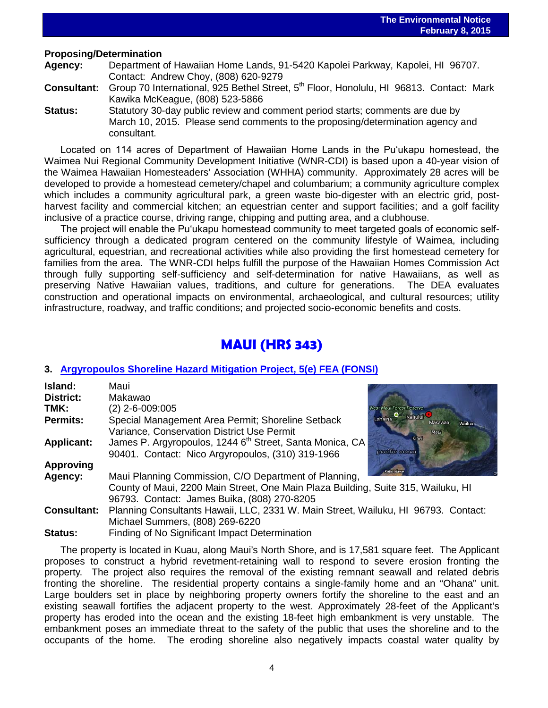# **Proposing/Determination**<br>**Agency:** Department

**Agency:** Department of Hawaiian Home Lands, 91-5420 Kapolei Parkway, Kapolei, HI 96707. Contact: Andrew Choy, (808) 620-9279

**Consultant:** Group 70 International, 925 Bethel Street, 5th Floor, Honolulu, HI 96813. Contact: Mark Kawika McKeague, (808) 523-5866

 $\overline{a}$ 

**Status:** Statutory 30-day public review and comment period starts; comments are due by March 10, 2015. Please send comments to the proposing/determination agency and consultant.

Located on 114 acres of Department of Hawaiian Home Lands in the Puʻukapu homestead, the Waimea Nui Regional Community Development Initiative (WNR-CDI) is based upon a 40-year vision of the Waimea Hawaiian Homesteaders' Association (WHHA) community. Approximately 28 acres will be developed to provide a homestead cemetery/chapel and columbarium; a community agriculture complex which includes a community agricultural park, a green waste bio-digester with an electric grid, postharvest facility and commercial kitchen; an equestrian center and support facilities; and a golf facility inclusive of a practice course, driving range, chipping and putting area, and a clubhouse.

The project will enable the Puʻukapu homestead community to meet targeted goals of economic selfsufficiency through a dedicated program centered on the community lifestyle of Waimea, including agricultural, equestrian, and recreational activities while also providing the first homestead cemetery for families from the area. The WNR-CDI helps fulfill the purpose of the Hawaiian Homes Commission Act through fully supporting self-sufficiency and self-determination for native Hawaiians, as well as preserving Native Hawaiian values, traditions, and culture for generations. The DEA evaluates construction and operational impacts on environmental, archaeological, and cultural resources; utility infrastructure, roadway, and traffic conditions; and projected socio-economic benefits and costs.

## **MAUI (HRS 343)**

### **3. [Argyropoulos Shoreline Hazard Mitigation Project,](http://oeqc.doh.hawaii.gov/Shared%20Documents/EA_and_EIS_Online_Library/Maui/2010s/2015-02-08-MA-5E-FEA-Argyropoulos-Shoreline-Hazard-Mitigation-Project.pdf) 5(e) FEA (FONSI)**

| Island:            | Maui                                                                                                              |
|--------------------|-------------------------------------------------------------------------------------------------------------------|
| District:          | Makawao                                                                                                           |
| TMK:               | $(2)$ 2-6-009:005<br><b>West Maui Forest Reserve</b>                                                              |
| Permits:           | $\bullet$ Kahului $\bullet$<br>Lahaina<br>Special Management Area Permit; Shoreline Setback<br>Makawao,<br>Wailua |
|                    | Variance, Conservation District Use Permit<br>Maui                                                                |
| <b>Applicant:</b>  | <b>Kihei</b><br>James P. Argyropoulos, 1244 6 <sup>th</sup> Street, Santa Monica, CA                              |
|                    | pacific ocean<br>90401. Contact: Nico Argyropoulos, (310) 319-1966                                                |
| <b>Approving</b>   | ano olaw                                                                                                          |
| Agency:            | Maui Planning Commission, C/O Department of Planning,                                                             |
|                    | County of Maui, 2200 Main Street, One Main Plaza Building, Suite 315, Wailuku, HI                                 |
|                    | 96793. Contact: James Buika, (808) 270-8205                                                                       |
| <b>Consultant:</b> | Planning Consultants Hawaii, LLC, 2331 W. Main Street, Wailuku, HI 96793. Contact:                                |
|                    | Michael Summers, (808) 269-6220                                                                                   |
| <b>Status:</b>     | Finding of No Significant Impact Determination                                                                    |

The property is located in Kuau, along Maui's North Shore, and is 17,581 square feet. The Applicant proposes to construct a hybrid revetment-retaining wall to respond to severe erosion fronting the property. The project also requires the removal of the existing remnant seawall and related debris fronting the shoreline. The residential property contains a single-family home and an "Ohana" unit. Large boulders set in place by neighboring property owners fortify the shoreline to the east and an existing seawall fortifies the adjacent property to the west. Approximately 28-feet of the Applicant's property has eroded into the ocean and the existing 18-feet high embankment is very unstable. The embankment poses an immediate threat to the safety of the public that uses the shoreline and to the occupants of the home. The eroding shoreline also negatively impacts coastal water quality by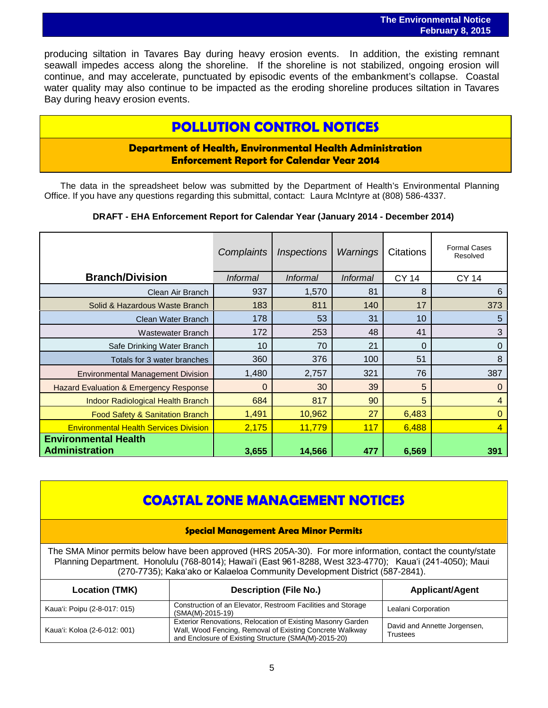producing siltation in Tavares Bay during heavy erosion events. In addition, the existing remnant seawall impedes access along the shoreline. If the shoreline is not stabilized, ongoing erosion will continue, and may accelerate, punctuated by episodic events of the embankment's collapse. Coastal water quality may also continue to be impacted as the eroding shoreline produces siltation in Tavares Bay during heavy erosion events.

## **POLLUTION CONTROL NOTICES**

## **Department of Health, Environmental Health Administration Enforcement Report for Calendar Year 2014**

The data in the spreadsheet below was submitted by the Department of Health's Environmental Planning Office. If you have any questions regarding this submittal, contact: Laura McIntyre at (808) 586-4337.

### **DRAFT - EHA Enforcement Report for Calendar Year (January 2014 - December 2014)**

|                                                      | Complaints      | <i><b>Inspections</b></i> | Warnings        | Citations    | <b>Formal Cases</b><br>Resolved |
|------------------------------------------------------|-----------------|---------------------------|-----------------|--------------|---------------------------------|
| <b>Branch/Division</b>                               | <b>Informal</b> | <b>Informal</b>           | <i>Informal</i> | <b>CY 14</b> | <b>CY 14</b>                    |
| Clean Air Branch                                     | 937             | 1,570                     | 81              | 8            | 6                               |
| Solid & Hazardous Waste Branch                       | 183             | 811                       | 140             | 17           | 373                             |
| Clean Water Branch                                   | 178             | 53                        | 31              | 10           | 5                               |
| <b>Wastewater Branch</b>                             | 172             | 253                       | 48              | 41           | 3                               |
| Safe Drinking Water Branch                           | 10 <sup>1</sup> | 70                        | 21              | 0            | $\mathbf 0$                     |
| Totals for 3 water branches                          | 360             | 376                       | 100             | 51           | 8                               |
| <b>Environmental Management Division</b>             | 1,480           | 2,757                     | 321             | 76           | 387                             |
| <b>Hazard Evaluation &amp; Emergency Response</b>    | 0               | 30                        | 39              | 5            | 0                               |
| <b>Indoor Radiological Health Branch</b>             | 684             | 817                       | 90              | 5            | 4                               |
| Food Safety & Sanitation Branch                      | 1,491           | 10,962                    | 27              | 6,483        | $\Omega$                        |
| <b>Environmental Health Services Division</b>        | 2,175           | 11,779                    | 117             | 6,488        | $\overline{4}$                  |
| <b>Environmental Health</b><br><b>Administration</b> | 3,655           | 14,566                    | 477             | 6,569        | 391                             |

## **COASTAL ZONE MANAGEMENT NOTICES**

### **Special Management Area Minor Permits**

The SMA Minor permits below have been approved (HRS 205A-30). For more information, contact the county/state Planning Department. Honolulu (768-8014); Hawaiʻi (East 961-8288, West 323-4770); Kauaʻi (241-4050); Maui (270-7735); Kakaʻako or Kalaeloa Community Development District (587-2841).

| <b>Location (TMK)</b>        | <b>Description (File No.)</b>                                                                                                                                                   |                                                 |
|------------------------------|---------------------------------------------------------------------------------------------------------------------------------------------------------------------------------|-------------------------------------------------|
| Kaua'i: Poipu (2-8-017: 015) | Construction of an Elevator, Restroom Facilities and Storage<br>(SMA(M)-2015-19)                                                                                                | Lealani Corporation                             |
| Kaua'i: Koloa (2-6-012: 001) | Exterior Renovations, Relocation of Existing Masonry Garden<br>Wall, Wood Fencing, Removal of Existing Concrete Walkway<br>and Enclosure of Existing Structure (SMA(M)-2015-20) | David and Annette Jorgensen,<br><b>Trustees</b> |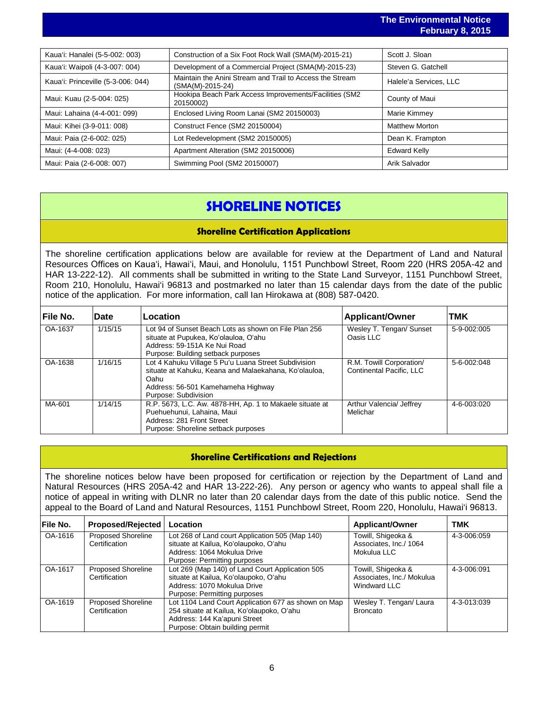|                                                                              | $1$ video video video in $\sqrt{2}$ |
|------------------------------------------------------------------------------|-------------------------------------|
|                                                                              |                                     |
| Construction of a Six Foot Rock Wall (SMA(M)-2015-21)                        | Scott J. Sloan                      |
| Development of a Commercial Project (SMA(M)-2015-23)                         | Steven G. Gatchell                  |
| Maintain the Anini Stream and Trail to Access the Stream<br>(SMA(M)-2015-24) | Halele'a Services, LLC              |
| Hookipa Beach Park Access Improvements/Facilities (SM2<br>20150002)          | County of Maui                      |
| Enclosed Living Room Lanai (SM2 20150003)                                    | Marie Kimmey                        |
| Construct Fence (SM2 20150004)                                               | <b>Matthew Morton</b>               |
| Lot Redevelopment (SM2 20150005)                                             | Dean K. Frampton                    |
| Apartment Alteration (SM2 20150006)                                          | <b>Edward Kelly</b>                 |
| Swimming Pool (SM2 20150007)                                                 | Arik Salvador                       |
|                                                                              |                                     |

## **SHORELINE NOTICES**

### **Shoreline Certification Applications**

The shoreline certification applications below are available for review at the Department of Land and Natural Resources Offices on Kauaʻi, Hawaiʻi, Maui, and Honolulu, 1151 Punchbowl Street, Room 220 (HRS 205A-42 and HAR 13-222-12). All comments shall be submitted in writing to the State Land Surveyor, 1151 Punchbowl Street, Room 210, Honolulu, Hawai'i 96813 and postmarked no later than 15 calendar days from the date of the public notice of the application. For more information, call Ian Hirokawa at (808) 587-0420.

| <b>File No.</b> | <b>Date</b> | Location                                                                                                                                                                            | <b>Applicant/Owner</b>                               | TMK         |
|-----------------|-------------|-------------------------------------------------------------------------------------------------------------------------------------------------------------------------------------|------------------------------------------------------|-------------|
| OA-1637         | 1/15/15     | Lot 94 of Sunset Beach Lots as shown on File Plan 256<br>situate at Pupukea, Ko'olauloa, O'ahu<br>Address: 59-151A Ke Nui Road<br>Purpose: Building setback purposes                | Wesley T. Tengan/ Sunset<br>Oasis LLC                | 5-9-002:005 |
| OA-1638         | 1/16/15     | Lot 4 Kahuku Village 5 Pu'u Luana Street Subdivision<br>situate at Kahuku, Keana and Malaekahana, Ko'olauloa,<br>Oahu<br>Address: 56-501 Kamehameha Highway<br>Purpose: Subdivision | R.M. Towill Corporation/<br>Continental Pacific, LLC | 5-6-002:048 |
| MA-601          | 1/14/15     | R.P. 5673, L.C. Aw. 4878-HH, Ap. 1 to Makaele situate at<br>Puehuehunui, Lahaina, Maui<br>Address: 281 Front Street<br>Purpose: Shoreline setback purposes                          | Arthur Valencia/ Jeffrey<br>Melichar                 | 4-6-003:020 |

### **Shoreline Certifications and Rejections**

The shoreline notices below have been proposed for certification or rejection by the Department of Land and Natural Resources (HRS 205A-42 and HAR 13-222-26). Any person or agency who wants to appeal shall file a notice of appeal in writing with DLNR no later than 20 calendar days from the date of this public notice. Send the appeal to the Board of Land and Natural Resources, 1151 Punchbowl Street, Room 220, Honolulu, Hawai'i 96813.

| File No. | <b>Proposed/Rejected</b>                   | Location                                                                                                                                                                                                               | <b>Applicant/Owner</b>                                          | <b>TMK</b>  |
|----------|--------------------------------------------|------------------------------------------------------------------------------------------------------------------------------------------------------------------------------------------------------------------------|-----------------------------------------------------------------|-------------|
| OA-1616  | <b>Proposed Shoreline</b><br>Certification | Towill, Shigeoka &<br>Lot 268 of Land court Application 505 (Map 140)<br>situate at Kailua, Ko'olaupoko, O'ahu<br>Associates, Inc./ 1064<br>Mokulua LLC<br>Address: 1064 Mokulua Drive<br>Purpose: Permitting purposes |                                                                 | 4-3-006:059 |
| OA-1617  | <b>Proposed Shoreline</b><br>Certification | Lot 269 (Map 140) of Land Court Application 505<br>situate at Kailua, Ko'olaupoko, O'ahu<br>Address: 1070 Mokulua Drive<br>Purpose: Permitting purposes                                                                | Towill, Shigeoka &<br>Associates, Inc./ Mokulua<br>Windward LLC | 4-3-006:091 |
| OA-1619  | <b>Proposed Shoreline</b><br>Certification | Lot 1104 Land Court Application 677 as shown on Map<br>254 situate at Kailua, Ko'olaupoko, O'ahu<br>Address: 144 Ka'apuni Street<br>Purpose: Obtain building permit                                                    | Wesley T. Tengan/ Laura<br><b>Broncato</b>                      | 4-3-013:039 |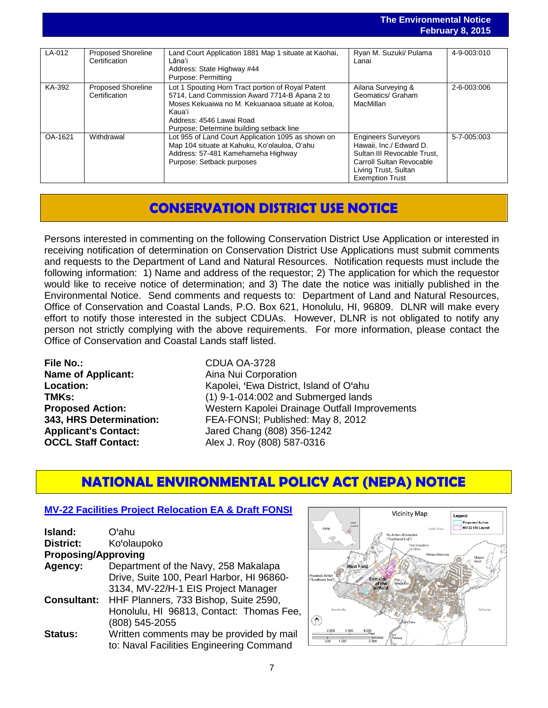### **The Environmental Notice February 8, 2015**

|         |                                            |                                                                                                                                                                                                                                          |                                                                                                                                                                    | $1$ video video video in $\mathbf{v}$ |
|---------|--------------------------------------------|------------------------------------------------------------------------------------------------------------------------------------------------------------------------------------------------------------------------------------------|--------------------------------------------------------------------------------------------------------------------------------------------------------------------|---------------------------------------|
|         |                                            |                                                                                                                                                                                                                                          |                                                                                                                                                                    |                                       |
| LA-012  | <b>Proposed Shoreline</b><br>Certification | Land Court Application 1881 Map 1 situate at Kaohai,<br>Lāna'i<br>Address: State Highway #44<br>Purpose: Permitting                                                                                                                      | Ryan M. Suzuki/ Pulama<br>Lanai                                                                                                                                    | 4-9-003:010                           |
| KA-392  | <b>Proposed Shoreline</b><br>Certification | Lot 1 Spouting Horn Tract portion of Royal Patent<br>5714, Land Commission Award 7714-B Apana 2 to<br>Moses Kekuaiwa no M. Kekuanaoa situate at Koloa.<br>Kaua'i<br>Address: 4546 Lawai Road<br>Purpose: Determine building setback line | Ailana Surveying &<br>Geomatics/ Graham<br><b>MacMillan</b>                                                                                                        | 2-6-003:006                           |
| OA-1621 | Withdrawal                                 | Lot 955 of Land Court Application 1095 as shown on<br>Map 104 situate at Kahuku, Ko'olauloa, O'ahu<br>Address: 57-481 Kamehameha Highway<br>Purpose: Setback purposes                                                                    | <b>Engineers Surveyors</b><br>Hawaii. Inc./ Edward D.<br>Sultan III Revocable Trust.<br>Carroll Sultan Revocable<br>Living Trust, Sultan<br><b>Exemption Trust</b> | 5-7-005:003                           |

## **CONSERVATION DISTRICT USE NOTICE**

Persons interested in commenting on the following Conservation District Use Application or interested in receiving notification of determination on Conservation District Use Applications must submit comments and requests to the Department of Land and Natural Resources. Notification requests must include the following information: 1) Name and address of the requestor; 2) The application for which the requestor would like to receive notice of determination; and 3) The date the notice was initially published in the Environmental Notice. Send comments and requests to: Department of Land and Natural Resources, Office of Conservation and Coastal Lands, P.O. Box 621, Honolulu, HI, 96809. DLNR will make every effort to notify those interested in the subject CDUAs. However, DLNR is not obligated to notify any person not strictly complying with the above requirements. For more information, please contact the Office of Conservation and Coastal Lands staff listed.

**File No.:** CDUA OA-3728 **Name of Applicant:** Aina Nui Corporation

**Location:** Kapolei, 'Ewa District, Island of O'ahu **TMKs:**<br> **Proposed Action:** (1) 9-1-014:002 and Submerged lands<br>
Western Kapolei Drainage Outfall Impr **Proposed Action:** Western Kapolei Drainage Outfall Improvements<br> **343. HRS Determination:** FEA-FONSI: Published: May 8. 2012 **343, HRS Determination:** FEA-FONSI; Published: May 8, 2012 Applicant's Contact:<br> **OCCL Staff Contact:**<br> **Alex J. Roy (808) 587-0316 OCCL Staff Contact:** Alex J. Roy (808) 587-0316

## **NATIONAL ENVIRONMENTAL POLICY ACT (NEPA) NOTICE**

## **[MV-22 Facilities Project](http://oeqc.doh.hawaii.gov/Shared%20Documents/EA_and_EIS_Online_Library/NEPA%20and%20Other%20Documents/2015-02-08-NEPA-MV-22_Draft-FONSI-and-EA.pdf) Relocation EA & Draft FONSI**

| Island:                    | Oʻahu                                     |
|----------------------------|-------------------------------------------|
| District:                  | Ko'olaupoko                               |
| <b>Proposing/Approving</b> |                                           |
| Agency:                    | Department of the Navy, 258 Makalapa      |
|                            | Drive, Suite 100, Pearl Harbor, HI 96860- |
|                            | 3134, MV-22/H-1 EIS Project Manager       |
| <b>Consultant:</b>         | HHF Planners, 733 Bishop, Suite 2590,     |
|                            | Honolulu, HI 96813, Contact: Thomas Fee,  |
|                            | (808) 545-2055                            |
| <b>Status:</b>             | Written comments may be provided by mail  |
|                            | to: Naval Facilities Engineering Command  |

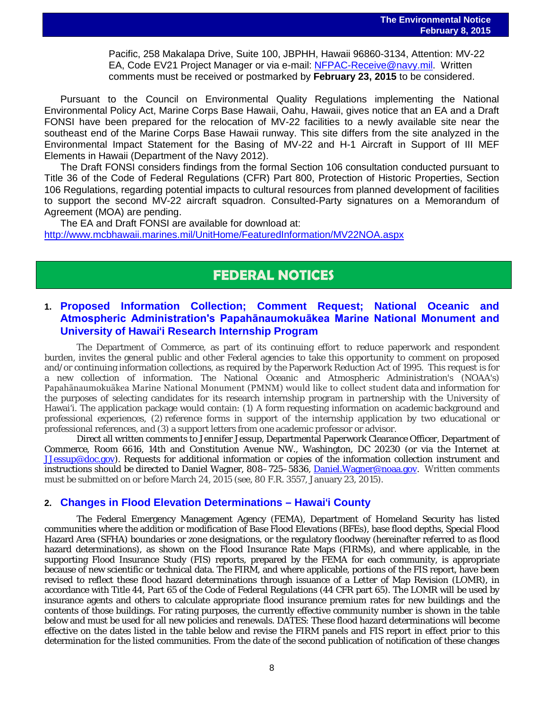Pacific, 258 Makalapa Drive, Suite 100, JBPHH, Hawaii 96860-3134, Attention: MV-22 EA, Code EV21 Project Manager or via e-mail: [NFPAC-Receive@navy.mil.](mailto:NFPAC-Receive@navy.mil) Written comments must be received or postmarked by **February 23, 2015** to be considered.

Pursuant to the Council on Environmental Quality Regulations implementing the National Environmental Policy Act, Marine Corps Base Hawaii, Oahu, Hawaii, gives notice that an EA and a Draft FONSI have been prepared for the relocation of MV-22 facilities to a newly available site near the southeast end of the Marine Corps Base Hawaii runway. This site differs from the site analyzed in the Environmental Impact Statement for the Basing of MV-22 and H-1 Aircraft in Support of III MEF Elements in Hawaii (Department of the Navy 2012).

The Draft FONSI considers findings from the formal Section 106 consultation conducted pursuant to Title 36 of the Code of Federal Regulations (CFR) Part 800, Protection of Historic Properties, Section 106 Regulations, regarding potential impacts to cultural resources from planned development of facilities to support the second MV-22 aircraft squadron. Consulted-Party signatures on a Memorandum of Agreement (MOA) are pending.

The EA and Draft FONSI are available for download at: <http://www.mcbhawaii.marines.mil/UnitHome/FeaturedInformation/MV22NOA.aspx>

## **FEDERAL NOTICES**

## **1. [Proposed Information Collection; Comment Request; National Oceanic and](http://www.gpo.gov/fdsys/pkg/FR-2015-01-23/pdf/2015-01148.pdf)  [Atmospheric Administration's Papahānaumokuākea Marine National Monument and](http://www.gpo.gov/fdsys/pkg/FR-2015-01-23/pdf/2015-01148.pdf)  University of Hawai**'**[i Research Internship Program](http://www.gpo.gov/fdsys/pkg/FR-2015-01-23/pdf/2015-01148.pdf)**

The Department of Commerce, as part of its continuing effort to reduce paperwork and respondent burden, invites the general public and other Federal agencies to take this opportunity to comment on proposed and/or continuing information collections, as required by the Paperwork Reduction Act of 1995. This request is for a new collection of information. The National Oceanic and Atmospheric Administration's (NOAA's) Papahānaumokuākea Marine National Monument (PMNM) would like to collect student data and information for the purposes of selecting candidates for its research internship program in partnership with the University of Hawai'i. The application package would contain: (1) A form requesting information on academic background and professional experiences, (2) reference forms in support of the internship application by two educational or professional references, and (3) a support letters from one academic professor or advisor.

Direct all written comments to Jennifer Jessup, Departmental Paperwork Clearance Officer, Department of Commerce, Room 6616, 14th and Constitution Avenue NW., Washington, DC 20230 (or via the Internet at [JJessup@doc.gov\)](mailto:JJessup@doc.gov). Requests for additional information or copies of the information collection instrument and instructions should be directed to Daniel Wagner, 808–725–5836, [Daniel.Wagner@noaa.gov.](mailto:Daniel.Wagner@noaa.gov) Written comments must be submitted on or before March 24, 2015 (see, 80 F.R. 3557, January 23, 2015).

### **2. [Changes in Flood Elevation Determinations –](http://www.gpo.gov/fdsys/pkg/FR-2015-02-05/pdf/2015-02234.pdf) Hawai**'**i County**

The Federal Emergency Management Agency (FEMA), Department of Homeland Security has listed communities where the addition or modification of Base Flood Elevations (BFEs), base flood depths, Special Flood Hazard Area (SFHA) boundaries or zone designations, or the regulatory floodway (hereinafter referred to as flood hazard determinations), as shown on the Flood Insurance Rate Maps (FIRMs), and where applicable, in the supporting Flood Insurance Study (FIS) reports, prepared by the FEMA for each community, is appropriate because of new scientific or technical data. The FIRM, and where applicable, portions of the FIS report, have been revised to reflect these flood hazard determinations through issuance of a Letter of Map Revision (LOMR), in accordance with Title 44, Part 65 of the Code of Federal Regulations (44 CFR part 65). The LOMR will be used by insurance agents and others to calculate appropriate flood insurance premium rates for new buildings and the contents of those buildings. For rating purposes, the currently effective community number is shown in the table below and must be used for all new policies and renewals. DATES: These flood hazard determinations will become effective on the dates listed in the table below and revise the FIRM panels and FIS report in effect prior to this determination for the listed communities. From the date of the second publication of notification of these changes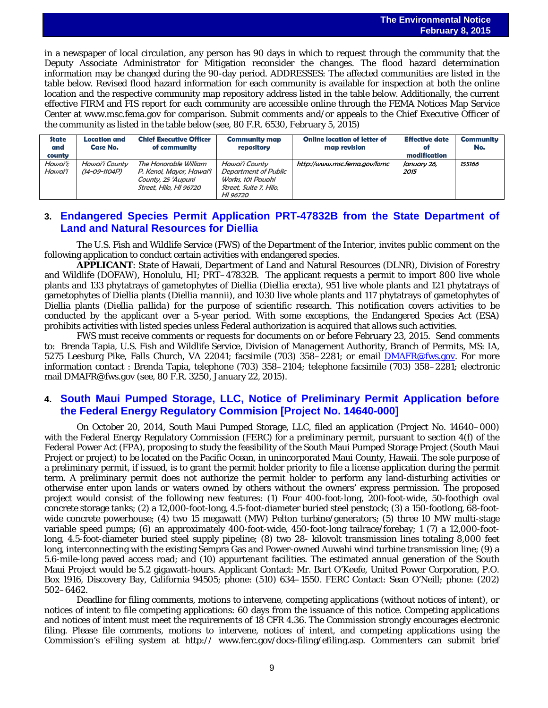in a newspaper of local circulation, any person has 90 days in which to request through the community that the Deputy Associate Administrator for Mitigation reconsider the changes. The flood hazard determination information may be changed during the 90-day period. ADDRESSES: The affected communities are listed in the table below. Revised flood hazard information for each community is available for inspection at both the online location and the respective community map repository address listed in the table below. Additionally, the current effective FIRM and FIS report for each community are accessible online through the FEMA Notices Map Service Center at www.msc.fema.gov for comparison. Submit comments and/or appeals to the Chief Executive Officer of the community as listed in the table below (see, 80 F.R. 6530, February 5, 2015)

| <b>State</b><br>and<br>county | Location and<br>Case No.        | <b>Chief Executive Officer</b><br>of community                                                    | <b>Community map</b><br>repository                                                                       | <b>Online location of letter of</b><br>map revision | <b>Effective date</b><br>of<br>modification | Community<br>No. |
|-------------------------------|---------------------------------|---------------------------------------------------------------------------------------------------|----------------------------------------------------------------------------------------------------------|-----------------------------------------------------|---------------------------------------------|------------------|
| Hawaiʻi:<br>Hawaiʻi           | Hawai'i County<br>(14-09-1104P) | The Honorable William<br>P. Kenoi, Mayor, Hawaiʻi<br>County, 25 'Aupuni<br>Street. Hilo. HI 96720 | Hawaiʻi County<br><b>Department of Public</b><br>Works, 101 Pauahi<br>Street, Suite 7, Hilo,<br>HI 96720 | http://www.msc.fema.gov/lomc                        | January 26,<br>2015                         | 155166           |

## **3. [Endangered Species Permit Application PRT-47832B from the State Department of](http://www.gpo.gov/fdsys/pkg/FR-2015-01-22/pdf/2015-00916.pdf)  [Land and Natural Resources for Diellia](http://www.gpo.gov/fdsys/pkg/FR-2015-01-22/pdf/2015-00916.pdf)**

The U.S. Fish and Wildlife Service (FWS) of the Department of the Interior, invites public comment on the following application to conduct certain activities with endangered species.

**APPLICANT**: State of Hawaii, Department of Land and Natural Resources (DLNR), Division of Forestry and Wildlife (DOFAW), Honolulu, HI; PRT–47832B. The applicant requests a permit to import 800 live whole plants and 133 phytatrays of gametophytes of Diellia (*Diellia erecta*), 951 live whole plants and 121 phytatrays of gametophytes of Diellia plants (*Diellia mannii*), and 1030 live whole plants and 117 phytatrays of gametophytes of Diellia plants (*Diellia pallida*) for the purpose of scientific research. This notification covers activities to be conducted by the applicant over a 5-year period. With some exceptions, the Endangered Species Act (ESA) prohibits activities with listed species unless Federal authorization is acquired that allows such activities.

FWS must receive comments or requests for documents on or before February 23, 2015. Send comments to: Brenda Tapia, U.S. Fish and Wildlife Service, Division of Management Authority, Branch of Permits, MS: IA, 5275 Leesburg Pike, Falls Church, VA 22041; facsimile (703) 358–2281; or email [DMAFR@fws.gov.](mailto:DMAFR@fws.gov) For more information contact : Brenda Tapia, telephone (703) 358–2104; telephone facsimile (703) 358–2281; electronic mail DMAFR@fws.gov (see, 80 F.R. 3250, January 22, 2015).

### **4. [South Maui Pumped Storage, LLC, Notice of Preliminary Permit Application before](http://www.gpo.gov/fdsys/pkg/FR-2015-01-23/pdf/2015-01140.pdf)  [the Federal Energy Regulatory Commision \[Project No. 14640-000\]](http://www.gpo.gov/fdsys/pkg/FR-2015-01-23/pdf/2015-01140.pdf)**

On October 20, 2014, South Maui Pumped Storage, LLC, filed an application (Project No. 14640–000) with the Federal Energy Regulatory Commission (FERC) for a preliminary permit, pursuant to section 4(f) of the Federal Power Act (FPA), proposing to study the feasibility of the South Maui Pumped Storage Project (South Maui Project or project) to be located on the Pacific Ocean, in unincorporated Maui County, Hawaii. The sole purpose of a preliminary permit, if issued, is to grant the permit holder priority to file a license application during the permit term. A preliminary permit does not authorize the permit holder to perform any land-disturbing activities or otherwise enter upon lands or waters owned by others without the owners' express permission. The proposed project would consist of the following new features: (1) Four 400-foot-long, 200-foot-wide, 50-foothigh oval concrete storage tanks; (2) a 12,000-foot-long, 4.5-foot-diameter buried steel penstock; (3) a 150-footlong, 68-footwide concrete powerhouse; (4) two 15 megawatt (MW) Pelton turbine/generators; (5) three 10 MW multi-stage variable speed pumps; (6) an approximately 400-foot-wide, 450-foot-long tailrace/forebay; 1 (7) a 12,000-footlong, 4.5-foot-diameter buried steel supply pipeline; (8) two 28- kilovolt transmission lines totaling 8,000 feet long, interconnecting with the existing Sempra Gas and Power-owned Auwahi wind turbine transmission line; (9) a 5.6-mile-long paved access road; and (10) appurtenant facilities. The estimated annual generation of the South Maui Project would be 5.2 gigawatt-hours. Applicant Contact: Mr. Bart O'Keefe, United Power Corporation, P.O. Box 1916, Discovery Bay, California 94505; phone: (510) 634–1550. FERC Contact: Sean O'Neill; phone: (202) 502–6462.

Deadline for filing comments, motions to intervene, competing applications (without notices of intent), or notices of intent to file competing applications: 60 days from the issuance of this notice. Competing applications and notices of intent must meet the requirements of 18 CFR 4.36. The Commission strongly encourages electronic filing. Please file comments, motions to intervene, notices of intent, and competing applications using the Commission's eFiling system at http:// www.ferc.gov/docs-filing/efiling.asp. Commenters can submit brief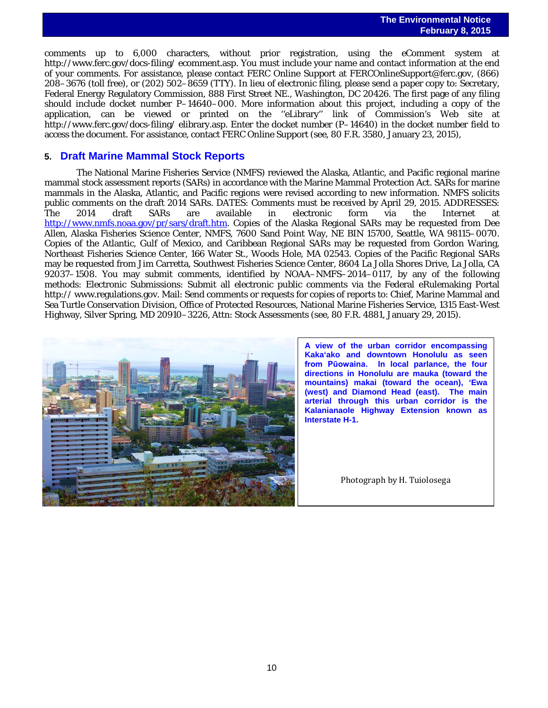comments up to 6,000 characters, without prior registration, using the eComment system at http://www.ferc.gov/docs-filing/ ecomment.asp. You must include your name and contact information at the end of your comments. For assistance, please contact FERC Online Support at FERCOnlineSupport@ferc.gov, (866) 208–3676 (toll free), or (202) 502–8659 (TTY). In lieu of electronic filing, please send a paper copy to: Secretary, Federal Energy Regulatory Commission, 888 First Street NE., Washington, DC 20426. The first page of any filing should include docket number P–14640–000. More information about this project, including a copy of the application, can be viewed or printed on the ''eLibrary'' link of Commission's Web site at http://www.ferc.gov/docs-filing/ elibrary.asp. Enter the docket number (P–14640) in the docket number field to access the document. For assistance, contact FERC Online Support (see, 80 F.R. 3580, January 23, 2015),

### **5. [Draft Marine Mammal Stock Reports](http://www.gpo.gov/fdsys/pkg/FR-2015-01-29/pdf/2015-01751.pdf)**

The National Marine Fisheries Service (NMFS) reviewed the Alaska, Atlantic, and Pacific regional marine mammal stock assessment reports (SARs) in accordance with the Marine Mammal Protection Act. SARs for marine mammals in the Alaska, Atlantic, and Pacific regions were revised according to new information. NMFS solicits public comments on the draft 2014 SARs. DATES: Comments must be received by April 29, 2015. ADDRESSES:<br>The 2014 draft SARs are available in electronic form via the Internet at The 2014 draft SARs are available in electronic form via the Internet at [http://www.nmfs.noaa.gov/pr/sars/draft.htm.](http://www.nmfs.noaa.gov/pr/sars/draft.htm) Copies of the Alaska Regional SARs may be requested from Dee Allen, Alaska Fisheries Science Center, NMFS, 7600 Sand Point Way, NE BIN 15700, Seattle, WA 98115–0070. Copies of the Atlantic, Gulf of Mexico, and Caribbean Regional SARs may be requested from Gordon Waring, Northeast Fisheries Science Center, 166 Water St., Woods Hole, MA 02543. Copies of the Pacific Regional SARs may be requested from Jim Carretta, Southwest Fisheries Science Center, 8604 La Jolla Shores Drive, La Jolla, CA 92037–1508. You may submit comments, identified by NOAA–NMFS–2014–0117, by any of the following methods: Electronic Submissions: Submit all electronic public comments via the Federal eRulemaking Portal http:// www.regulations.gov. Mail: Send comments or requests for copies of reports to: Chief, Marine Mammal and Sea Turtle Conservation Division, Office of Protected Resources, National Marine Fisheries Service, 1315 East-West Highway, Silver Spring, MD 20910–3226, Attn: Stock Assessments (see, 80 F.R. 4881, January 29, 2015).



**A view of the urban corridor encompassing Kaka'ako and downtown Honolulu as seen from Pūowaina. In local parlance, the four directions in Honolulu are mauka (toward the mountains) makai (toward the ocean), 'Ewa (west) and Diamond Head (east). The main arterial through this urban corridor is the Kalanianaole Highway Extension known as Interstate H-1.** 

Photograph by H. Tuiolosega